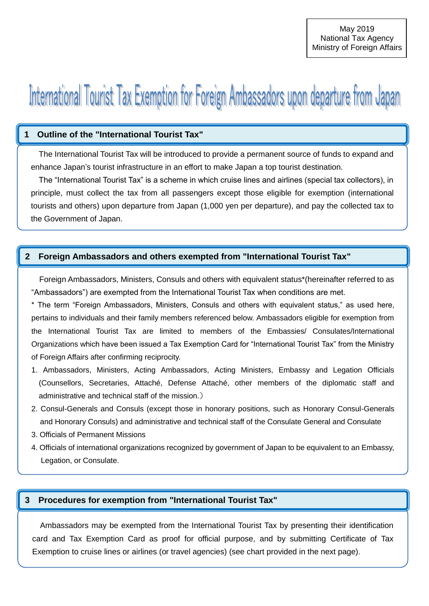# International Tourist Tax Exemption for Foreign Ambassadors upon departure from Japan

#### **1 Outline of the "International Tourist Tax"**

The International Tourist Tax will be introduced to provide a permanent source of funds to expand and enhance Japan's tourist infrastructure in an effort to make Japan a top tourist destination. 「国際観光旅客税」の概要

The "International Tourist Tax" is a scheme in which cruise lines and airlines (special tax collectors), in principle, must collect the tax from all passengers except those eligible for exemption (international tourists and others) upon departure from Japan (1,000 yen per departure), and pay the collected tax to the Government of Japan.

## **2 Foreign Ambassadors and others exempted from "International Tourist Tax"**

Foreign Ambassadors, Ministers, Consuls and others with equivalent status\*(hereinafter referred to as "Ambassadors") are exempted from the International Tourist Tax when conditions are met.

\* The term "Foreign Ambassadors, Ministers, Consuls and others with equivalent status," as used here, pertains to individuals and their family members referenced below. Ambassadors eligible for exemption from the International Tourist Tax are limited to members of the Embassies/ Consulates/International Organizations which have been issued a Tax Exemption Card for "International Tourist Tax" from the Ministry of Foreign Affairs after confirming reciprocity.

- 1. Ambassadors, Ministers, Acting Ambassadors, Acting Ministers, Embassy and Legation Officials (Counsellors, Secretaries, Attaché, Defense Attaché, other members of the diplomatic staff and administrative and technical staff of the mission.)
- 2. Consul-Generals and Consuls (except those in honorary positions, such as Honorary Consul-Generals and Honorary Consuls) and administrative and technical staff of the Consulate General and Consulate
- 3. Officials of Permanent Missions
- 4. Officials of international organizations recognized by government of Japan to be equivalent to an Embassy, Legation, or Consulate.

## **3 Procedures for exemption from "International Tourist Tax"**

Ambassadors may be exempted from the International Tourist Tax by presenting their identification card and Tax Exemption Card as proof for official purpose, and by submitting Certificate of Tax Exemption to cruise lines or airlines (or travel agencies) (see chart provided in the next page).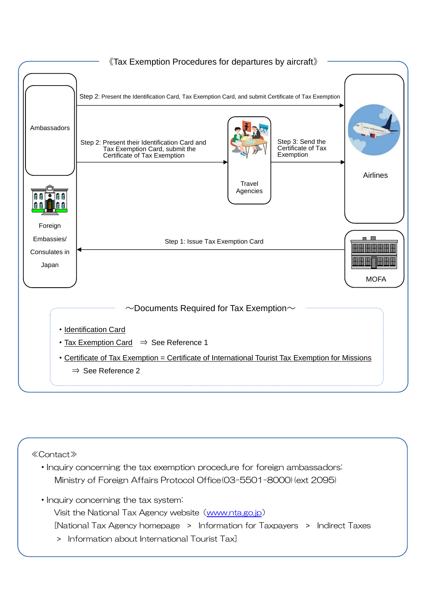

#### ≪Contact≫

・Inquiry concerning the tax exemption procedure for foreign ambassadors: Ministry of Foreign Affairs Protocol Office(03-5501-8000)(ext 2095)

・Inquiry concerning the tax system:

Visit the National Tax Agency website ([www.nta.go.jp](http://www.nta.go.jp/))

[National Tax Agency homepage > Information for Taxpayers > Indirect Taxes

> Information about International Tourist Tax]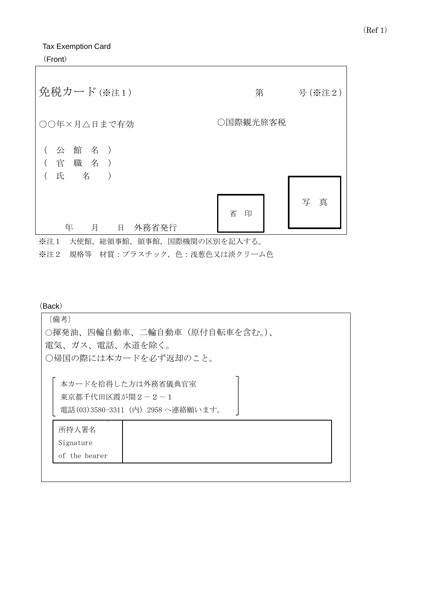Tax Exemption Card

(Front)

| 免税カード(※注1)                                                                     | 第        | 号(※注2) |
|--------------------------------------------------------------------------------|----------|--------|
| ○○年×月△日まで有効                                                                    | ○国際観光旅客税 |        |
| 公 館 名 )<br>職 名<br>官<br>$\left( \begin{array}{c} \end{array} \right)$<br>氏<br>名 |          |        |
| 年<br>外務省発行<br>月<br>日                                                           | 省<br>印   | 真<br>写 |

※注1 大使館,総領事館,領事館,国際機関の区別を記入する。

※注2 規格等 材質:プラスチック,色:浅葱色又は淡クリーム色

(Back)

| [備考]<br>○揮発油、四輪自動車、二輪自動車(原付自転車を含む。)、<br>電気、ガス、電話、水道を除く。                    |
|----------------------------------------------------------------------------|
| ○帰国の際には本カードを必ず返却のこと。                                                       |
| 本カードを拾得した方は外務省儀典官室<br>東京都千代田区霞が関2-2-1<br>電話(03)3580-3311 (内) 2958 へ連絡願います。 |
| 所持人署名                                                                      |
| Signature                                                                  |
| of the bearer                                                              |
|                                                                            |